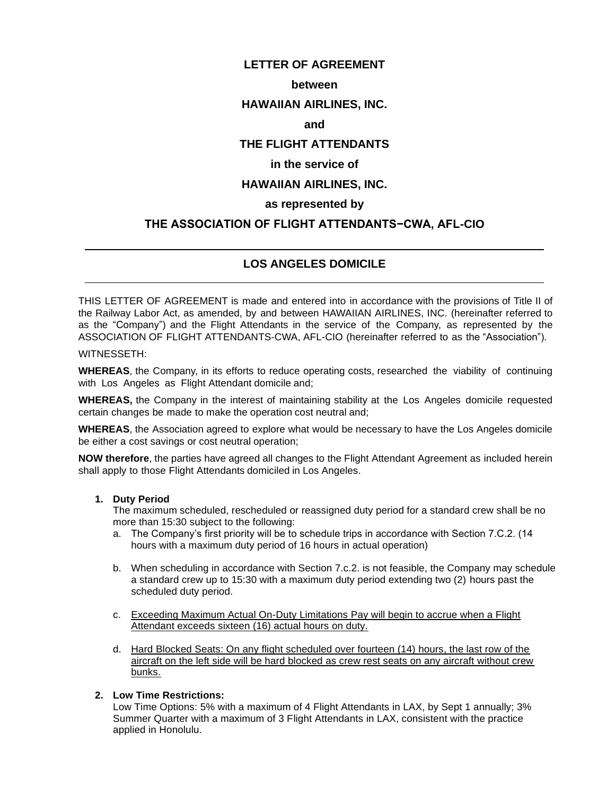# **LETTER OF AGREEMENT**

### **between**

# **HAWAIIAN AIRLINES, INC.**

### **and**

# **THE FLIGHT ATTENDANTS**

### **in the service of**

# **HAWAIIAN AIRLINES, INC.**

# **as represented by**

# **THE ASSOCIATION OF FLIGHT ATTENDANTS−CWA, AFL-CIO**

# **LOS ANGELES DOMICILE**

THIS LETTER OF AGREEMENT is made and entered into in accordance with the provisions of Title II of the Railway Labor Act, as amended, by and between HAWAIIAN AIRLINES, INC. (hereinafter referred to as the "Company") and the Flight Attendants in the service of the Company, as represented by the ASSOCIATION OF FLIGHT ATTENDANTS-CWA, AFL-CIO (hereinafter referred to as the "Association").

#### WITNESSETH:

 $\overline{a}$ 

 $\overline{a}$ 

**WHEREAS**, the Company, in its efforts to reduce operating costs, researched the viability of continuing with Los Angeles as Flight Attendant domicile and;

**WHEREAS,** the Company in the interest of maintaining stability at the Los Angeles domicile requested certain changes be made to make the operation cost neutral and;

**WHEREAS**, the Association agreed to explore what would be necessary to have the Los Angeles domicile be either a cost savings or cost neutral operation;

**NOW therefore**, the parties have agreed all changes to the Flight Attendant Agreement as included herein shall apply to those Flight Attendants domiciled in Los Angeles.

#### **1. Duty Period**

The maximum scheduled, rescheduled or reassigned duty period for a standard crew shall be no more than 15:30 subject to the following:

- a. The Company's first priority will be to schedule trips in accordance with Section 7.C.2. (14 hours with a maximum duty period of 16 hours in actual operation)
- b. When scheduling in accordance with Section 7.c.2. is not feasible, the Company may schedule a standard crew up to 15:30 with a maximum duty period extending two (2) hours past the scheduled duty period.
- c. Exceeding Maximum Actual On-Duty Limitations Pay will begin to accrue when a Flight Attendant exceeds sixteen (16) actual hours on duty.
- d. Hard Blocked Seats: On any flight scheduled over fourteen (14) hours, the last row of the aircraft on the left side will be hard blocked as crew rest seats on any aircraft without crew bunks.
- **2. Low Time Restrictions:**

Low Time Options: 5% with a maximum of 4 Flight Attendants in LAX, by Sept 1 annually; 3% Summer Quarter with a maximum of 3 Flight Attendants in LAX, consistent with the practice applied in Honolulu.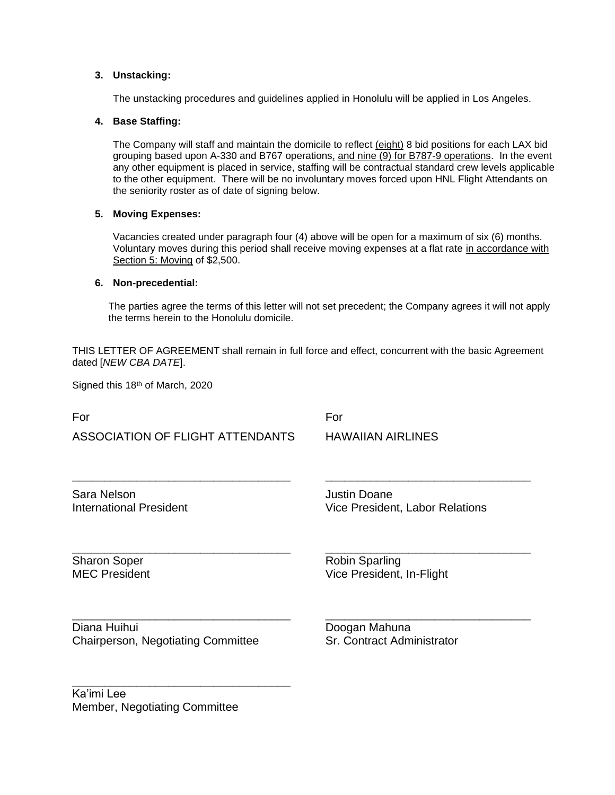#### **3. Unstacking:**

The unstacking procedures and guidelines applied in Honolulu will be applied in Los Angeles.

#### **4. Base Staffing:**

The Company will staff and maintain the domicile to reflect (eight) 8 bid positions for each LAX bid grouping based upon A-330 and B767 operations, and nine (9) for B787-9 operations. In the event any other equipment is placed in service, staffing will be contractual standard crew levels applicable to the other equipment. There will be no involuntary moves forced upon HNL Flight Attendants on the seniority roster as of date of signing below.

#### **5. Moving Expenses:**

Vacancies created under paragraph four (4) above will be open for a maximum of six (6) months. Voluntary moves during this period shall receive moving expenses at a flat rate in accordance with Section 5: Moving of \$2,500.

#### **6. Non-precedential:**

The parties agree the terms of this letter will not set precedent; the Company agrees it will not apply the terms herein to the Honolulu domicile.

THIS LETTER OF AGREEMENT shall remain in full force and effect, concurrent with the basic Agreement dated [*NEW CBA DATE*].

\_\_\_\_\_\_\_\_\_\_\_\_\_\_\_\_\_\_\_\_\_\_\_\_\_\_\_\_\_\_\_\_\_\_ \_\_\_\_\_\_\_\_\_\_\_\_\_\_\_\_\_\_\_\_\_\_\_\_\_\_\_\_\_\_\_\_

\_\_\_\_\_\_\_\_\_\_\_\_\_\_\_\_\_\_\_\_\_\_\_\_\_\_\_\_\_\_\_\_\_\_ \_\_\_\_\_\_\_\_\_\_\_\_\_\_\_\_\_\_\_\_\_\_\_\_\_\_\_\_\_\_\_\_

\_\_\_\_\_\_\_\_\_\_\_\_\_\_\_\_\_\_\_\_\_\_\_\_\_\_\_\_\_\_\_\_\_\_ \_\_\_\_\_\_\_\_\_\_\_\_\_\_\_\_\_\_\_\_\_\_\_\_\_\_\_\_\_\_\_\_

Signed this 18<sup>th</sup> of March, 2020

For For

ASSOCIATION OF FLIGHT ATTENDANTS HAWAIIAN AIRLINES

Sara Nelson **Gara Alexander Sara Nelson** Justin Doane

International President **International President** Vice President, Labor Relations

Sharon Soper **Robin Sparling** MEC President **Vice President**, In-Flight

Diana Huihui Doogan Mahuna Chairperson, Negotiating Committee Sr. Contract Administrator

\_\_\_\_\_\_\_\_\_\_\_\_\_\_\_\_\_\_\_\_\_\_\_\_\_\_\_\_\_\_\_\_\_\_

Ka'imi Lee Member, Negotiating Committee